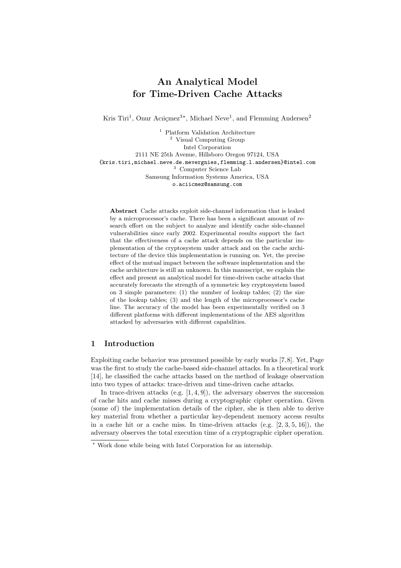# An Analytical Model for Time-Driven Cache Attacks

Kris Tiri<sup>1</sup>, Onur Aciiçmez<sup>3\*</sup>, Michael Neve<sup>1</sup>, and Flemming Andersen<sup>2</sup>

<sup>1</sup> Platform Validation Architecture <sup>2</sup> Visual Computing Group Intel Corporation 2111 NE 25th Avenue, Hillsboro Oregon 97124, USA {kris.tiri,michael.neve.de.mevergnies,flemming.l.andersen}@intel.com <sup>3</sup> Computer Science Lab Samsung Information Systems America, USA o.aciicmez@samsung.com

Abstract Cache attacks exploit side-channel information that is leaked by a microprocessor's cache. There has been a significant amount of research effort on the subject to analyze and identify cache side-channel vulnerabilities since early 2002. Experimental results support the fact that the effectiveness of a cache attack depends on the particular implementation of the cryptosystem under attack and on the cache architecture of the device this implementation is running on. Yet, the precise effect of the mutual impact between the software implementation and the cache architecture is still an unknown. In this manuscript, we explain the effect and present an analytical model for time-driven cache attacks that accurately forecasts the strength of a symmetric key cryptosystem based on 3 simple parameters: (1) the number of lookup tables; (2) the size of the lookup tables; (3) and the length of the microprocessor's cache line. The accuracy of the model has been experimentally verified on 3 different platforms with different implementations of the AES algorithm attacked by adversaries with different capabilities.

#### 1 Introduction

Exploiting cache behavior was presumed possible by early works [7,8]. Yet, Page was the first to study the cache-based side-channel attacks. In a theoretical work [14], he classified the cache attacks based on the method of leakage observation into two types of attacks: trace-driven and time-driven cache attacks.

In trace-driven attacks (e.g.  $[1, 4, 9]$ ), the adversary observes the succession of cache hits and cache misses during a cryptographic cipher operation. Given (some of) the implementation details of the cipher, she is then able to derive key material from whether a particular key-dependent memory access results in a cache hit or a cache miss. In time-driven attacks (e.g.  $[2, 3, 5, 16]$ ), the adversary observes the total execution time of a cryptographic cipher operation.

<sup>?</sup> Work done while being with Intel Corporation for an internship.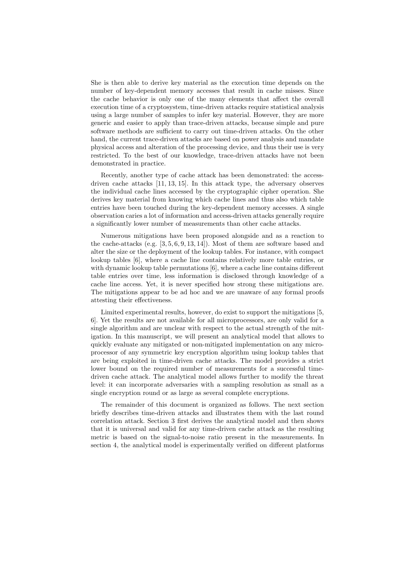She is then able to derive key material as the execution time depends on the number of key-dependent memory accesses that result in cache misses. Since the cache behavior is only one of the many elements that affect the overall execution time of a cryptosystem, time-driven attacks require statistical analysis using a large number of samples to infer key material. However, they are more generic and easier to apply than trace-driven attacks, because simple and pure software methods are sufficient to carry out time-driven attacks. On the other hand, the current trace-driven attacks are based on power analysis and mandate physical access and alteration of the processing device, and thus their use is very restricted. To the best of our knowledge, trace-driven attacks have not been demonstrated in practice.

Recently, another type of cache attack has been demonstrated: the accessdriven cache attacks [11, 13, 15]. In this attack type, the adversary observes the individual cache lines accessed by the cryptographic cipher operation. She derives key material from knowing which cache lines and thus also which table entries have been touched during the key-dependent memory accesses. A single observation caries a lot of information and access-driven attacks generally require a significantly lower number of measurements than other cache attacks.

Numerous mitigations have been proposed alongside and as a reaction to the cache-attacks  $(e.g. [3, 5, 6, 9, 13, 14])$ . Most of them are software based and alter the size or the deployment of the lookup tables. For instance, with compact lookup tables [6], where a cache line contains relatively more table entries, or with dynamic lookup table permutations [6], where a cache line contains different table entries over time, less information is disclosed through knowledge of a cache line access. Yet, it is never specified how strong these mitigations are. The mitigations appear to be ad hoc and we are unaware of any formal proofs attesting their effectiveness.

Limited experimental results, however, do exist to support the mitigations [5, 6]. Yet the results are not available for all microprocessors, are only valid for a single algorithm and are unclear with respect to the actual strength of the mitigation. In this manuscript, we will present an analytical model that allows to quickly evaluate any mitigated or non-mitigated implementation on any microprocessor of any symmetric key encryption algorithm using lookup tables that are being exploited in time-driven cache attacks. The model provides a strict lower bound on the required number of measurements for a successful timedriven cache attack. The analytical model allows further to modify the threat level: it can incorporate adversaries with a sampling resolution as small as a single encryption round or as large as several complete encryptions.

The remainder of this document is organized as follows. The next section briefly describes time-driven attacks and illustrates them with the last round correlation attack. Section 3 first derives the analytical model and then shows that it is universal and valid for any time-driven cache attack as the resulting metric is based on the signal-to-noise ratio present in the measurements. In section 4, the analytical model is experimentally verified on different platforms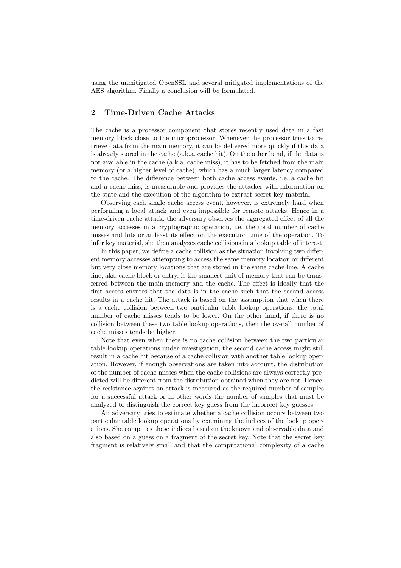using the unmitigated OpenSSL and several mitigated implementations of the AES algorithm. Finally a conclusion will be formulated.

### 2 Time-Driven Cache Attacks

The cache is a processor component that stores recently used data in a fast memory block close to the microprocessor. Whenever the processor tries to retrieve data from the main memory, it can be delivered more quickly if this data is already stored in the cache (a.k.a. cache hit). On the other hand, if the data is not available in the cache (a.k.a. cache miss), it has to be fetched from the main memory (or a higher level of cache), which has a much larger latency compared to the cache. The difference between both cache access events, i.e. a cache hit and a cache miss, is measurable and provides the attacker with information on the state and the execution of the algorithm to extract secret key material.

Observing each single cache access event, however, is extremely hard when performing a local attack and even impossible for remote attacks. Hence in a time-driven cache attack, the adversary observes the aggregated effect of all the memory accesses in a cryptographic operation, i.e. the total number of cache misses and hits or at least its effect on the execution time of the operation. To infer key material, she then analyzes cache collisions in a lookup table of interest.

In this paper, we define a cache collision as the situation involving two different memory accesses attempting to access the same memory location or different but very close memory locations that are stored in the same cache line. A cache line, aka. cache block or entry, is the smallest unit of memory that can be transferred between the main memory and the cache. The effect is ideally that the first access ensures that the data is in the cache such that the second access results in a cache hit. The attack is based on the assumption that when there is a cache collision between two particular table lookup operations, the total number of cache misses tends to be lower. On the other hand, if there is no collision between these two table lookup operations, then the overall number of cache misses tends be higher.

Note that even when there is no cache collision between the two particular table lookup operations under investigation, the second cache access might still result in a cache hit because of a cache collision with another table lookup operation. However, if enough observations are taken into account, the distribution of the number of cache misses when the cache collisions are always correctly predicted will be different from the distribution obtained when they are not. Hence, the resistance against an attack is measured as the required number of samples for a successful attack or in other words the number of samples that must be analyzed to distinguish the correct key guess from the incorrect key guesses.

An adversary tries to estimate whether a cache collision occurs between two particular table lookup operations by examining the indices of the lookup operations. She computes these indices based on the known and observable data and also based on a guess on a fragment of the secret key. Note that the secret key fragment is relatively small and that the computational complexity of a cache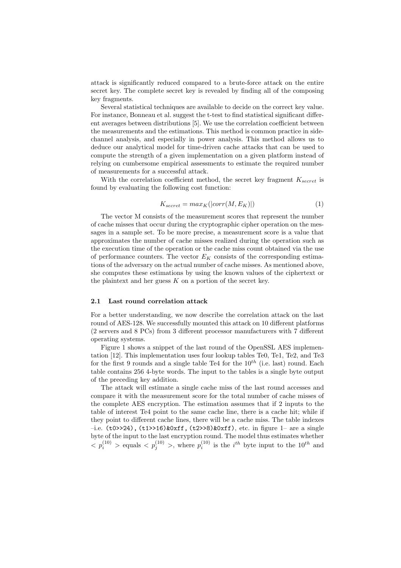attack is significantly reduced compared to a brute-force attack on the entire secret key. The complete secret key is revealed by finding all of the composing key fragments.

Several statistical techniques are available to decide on the correct key value. For instance, Bonneau et al. suggest the t-test to find statistical significant different averages between distributions [5]. We use the correlation coefficient between the measurements and the estimations. This method is common practice in sidechannel analysis, and especially in power analysis. This method allows us to deduce our analytical model for time-driven cache attacks that can be used to compute the strength of a given implementation on a given platform instead of relying on cumbersome empirical assessments to estimate the required number of measurements for a successful attack.

With the correlation coefficient method, the secret key fragment  $K_{secret}$  is found by evaluating the following cost function:

$$
K_{secret} = max_K(|corr(M, E_K)|)
$$
\n(1)

The vector M consists of the measurement scores that represent the number of cache misses that occur during the cryptographic cipher operation on the messages in a sample set. To be more precise, a measurement score is a value that approximates the number of cache misses realized during the operation such as the execution time of the operation or the cache miss count obtained via the use of performance counters. The vector  $E_K$  consists of the corresponding estimations of the adversary on the actual number of cache misses. As mentioned above, she computes these estimations by using the known values of the ciphertext or the plaintext and her guess  $K$  on a portion of the secret key.

#### 2.1 Last round correlation attack

For a better understanding, we now describe the correlation attack on the last round of AES-128. We successfully mounted this attack on 10 different platforms (2 servers and 8 PCs) from 3 different processor manufacturers with 7 different operating systems.

Figure 1 shows a snippet of the last round of the OpenSSL AES implementation [12]. This implementation uses four lookup tables Te0, Te1, Te2, and Te3 for the first 9 rounds and a single table Te4 for the  $10^{th}$  (i.e. last) round. Each table contains 256 4-byte words. The input to the tables is a single byte output of the preceding key addition.

The attack will estimate a single cache miss of the last round accesses and compare it with the measurement score for the total number of cache misses of the complete AES encryption. The estimation assumes that if 2 inputs to the table of interest Te4 point to the same cache line, there is a cache hit; while if they point to different cache lines, there will be a cache miss. The table indexes –i.e. (t0>>24), (t1>>16)&0xff, (t2>>8)&0xff), etc. in figure 1– are a single byte of the input to the last encryption round. The model thus estimates whether  $\langle p_i^{(10)} \rangle$  equals  $\langle p_j^{(10)} \rangle$ , where  $p_i^{(10)}$  is the *i*<sup>th</sup> byte input to the 10<sup>th</sup> and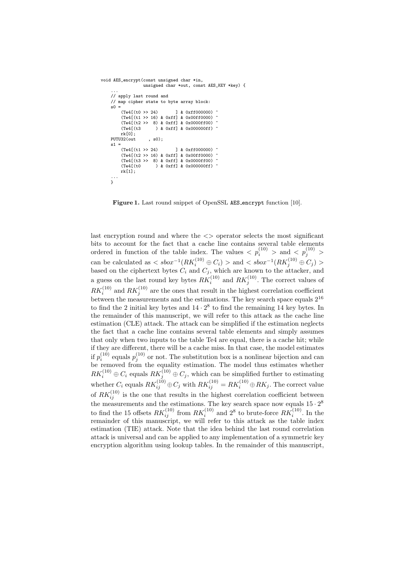```
void AES_encrypt(const unsigned char *in,
                    unsigned char *out, const AES_KEY *key) {
     ...
     // apply last round and
     // map cipher state to byte array block:
     s0 =<br>(Te4[(t0 >> 24)
                                    1 & 0xff000000)
          (Te4[(t1 >> 16) & 0xff] & 0x00ff0000) ^
(Te4[(t2 >> 8) & 0xff] & 0x0000ff00) ^
          (Te4[(t3) ) & 0xff] & 0x000000ff)
          rk[0];
    PUTU32(out \leq 0);
     s1 =<br>(Te4[(t1 >> 24)
                                    J & Oxf10000000(Te4[(t2 \gg 16) \& 0xff] \& 0x00ff0000)(Te4[(t3 \rangle 8) \& 0xff] \& 0x0000ff00)<br>(Te4[(t0) \& 0xff] \& 0x000000ff)(x + 0)x + 0x = 0 & 0x000000ff)
         rk[1];
     ...
}
```
Figure 1. Last round snippet of OpenSSL AES encrypt function [10].

last encryption round and where the  $\langle \rangle$  operator selects the most significant bits to account for the fact that a cache line contains several table elements ordered in function of the table index. The values  $\langle p_i^{(10)} \rangle$  and  $\langle p_j^{(10)} \rangle$ can be calculated as  $\langle s\,s\,^1(RK_i^{(10)}\oplus C_i)\rangle$  and  $\langle s\,s\,^1(RK_j^{(10)}\oplus C_j)\rangle$ based on the ciphertext bytes  $C_i$  and  $C_j$ , which are known to the attacker, and a guess on the last round key bytes  $RK_i^{(10)}$  and  $RK_j^{(10)}$ . The correct values of  $RK_i^{(10)}$  and  $RK_j^{(10)}$  are the ones that result in the highest correlation coefficient between the measurements and the estimations. The key search space equals  $2^{16}$ to find the 2 initial key bytes and  $14 \cdot 2^8$  to find the remaining 14 key bytes. In the remainder of this manuscript, we will refer to this attack as the cache line estimation (CLE) attack. The attack can be simplified if the estimation neglects the fact that a cache line contains several table elements and simply assumes that only when two inputs to the table Te4 are equal, there is a cache hit; while if they are different, there will be a cache miss. In that case, the model estimates if  $p_i^{(10)}$  equals  $p_j^{(10)}$  or not. The substitution box is a nonlinear bijection and can be removed from the equality estimation. The model thus estimates whether  $RK_i^{(10)} \oplus C_i$  equals  $RK_j^{(10)} \oplus C_j$ , which can be simplified further to estimating whether  $C_i$  equals  $RK_{ij}^{(10)} \oplus C_j$  with  $RK_{ij}^{(10)} = RK_i^{(10)} \oplus RK_j$ . The correct value of  $RK_{ij}^{(10)}$  is the one that results in the highest correlation coefficient between the measurements and the estimations. The key search space now equals  $15 \cdot 2^8$ to find the 15 offsets  $RK_{ij}^{(10)}$  from  $RK_i^{(10)}$  and 2<sup>8</sup> to brute-force  $RK_i^{(10)}$ . In the remainder of this manuscript, we will refer to this attack as the table index estimation (TIE) attack. Note that the idea behind the last round correlation attack is universal and can be applied to any implementation of a symmetric key encryption algorithm using lookup tables. In the remainder of this manuscript,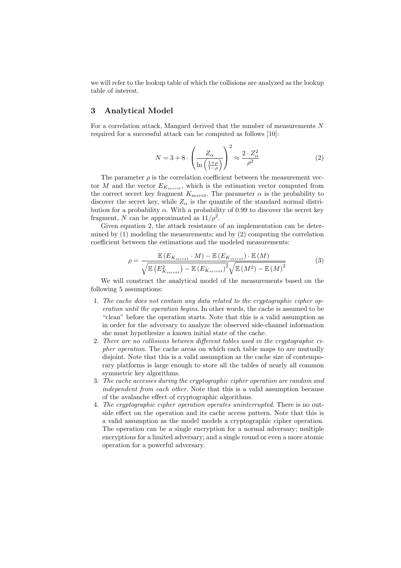we will refer to the lookup table of which the collisions are analyzed as the lookup table of interest.

#### 3 Analytical Model

For a correlation attack, Mangard derived that the number of measurements N required for a successful attack can be computed as follows [10]:

$$
N = 3 + 8 \cdot \left(\frac{Z_{\alpha}}{\ln\left(\frac{1+\rho}{1-\rho}\right)}\right)^2 \approx \frac{2 \cdot Z_{\alpha}^2}{\rho^2} \tag{2}
$$

The parameter  $\rho$  is the correlation coefficient between the measurement vector M and the vector  $E_{K_{secret}}$ , which is the estimation vector computed from the correct secret key fragment  $K_{secret}$ . The parameter  $\alpha$  is the probability to discover the secret key, while  $Z_{\alpha}$  is the quantile of the standard normal distribution for a probability  $\alpha$ . With a probability of 0.99 to discover the secret key fragment, N can be approximated as  $11/\rho^2$ .

Given equation 2, the attack resistance of an implementation can be determined by  $(1)$  modeling the measurements; and by  $(2)$  computing the correlation coefficient between the estimations and the modeled measurements:

$$
\rho = \frac{\mathbb{E}\left(E_{K_{secret}} \cdot M\right) - \mathbb{E}\left(E_{K_{secret}}\right) \cdot \mathbb{E}\left(M\right)}{\sqrt{\mathbb{E}\left(E_{K_{secret}}^2\right) - \mathbb{E}\left(E_{K_{secret}}\right)^2} \sqrt{\mathbb{E}\left(M^2\right) - \mathbb{E}\left(M\right)^2}}
$$
(3)

We will construct the analytical model of the measurements based on the following 5 assumptions:

- 1. The cache does not contain any data related to the cryptographic cipher operation until the operation begins. In other words, the cache is assumed to be "clean" before the operation starts. Note that this is a valid assumption as in order for the adversary to analyze the observed side-channel information she must hypothesize a known initial state of the cache.
- 2. There are no collisions between different tables used in the cryptographic cipher operation. The cache areas on which each table maps to are mutually disjoint. Note that this is a valid assumption as the cache size of contemporary platforms is large enough to store all the tables of nearly all common symmetric key algorithms.
- 3. The cache accesses during the cryptographic cipher operation are random and independent from each other. Note that this is a valid assumption because of the avalanche effect of cryptographic algorithms.
- 4. The cryptographic cipher operation operates uninterrupted. There is no outside effect on the operation and its cache access pattern. Note that this is a valid assumption as the model models a cryptographic cipher operation. The operation can be a single encryption for a normal adversary; multiple encryptions for a limited adversary; and a single round or even a more atomic operation for a powerful adversary.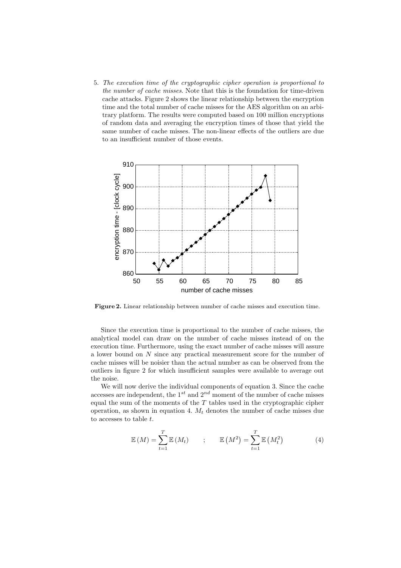5. The execution time of the cryptographic cipher operation is proportional to the number of cache misses. Note that this is the foundation for time-driven cache attacks. Figure 2 shows the linear relationship between the encryption time and the total number of cache misses for the AES algorithm on an arbitrary platform. The results were computed based on 100 million encryptions of random data and averaging the encryption times of those that yield the same number of cache misses. The non-linear effects of the outliers are due to an insufficient number of those events.



Figure 2. Linear relationship between number of cache misses and execution time.

Since the execution time is proportional to the number of cache misses, the analytical model can draw on the number of cache misses instead of on the execution time. Furthermore, using the exact number of cache misses will assure a lower bound on N since any practical measurement score for the number of cache misses will be noisier than the actual number as can be observed from the outliers in figure 2 for which insufficient samples were available to average out the noise.

We will now derive the individual components of equation 3. Since the cache accesses are independent, the  $1^{st}$  and  $2^{nd}$  moment of the number of cache misses equal the sum of the moments of the  $T$  tables used in the cryptographic cipher operation, as shown in equation 4.  $M_t$  denotes the number of cache misses due to accesses to table t.

$$
\mathbb{E}(M) = \sum_{t=1}^{T} \mathbb{E}(M_t) \qquad ; \qquad \mathbb{E}(M^2) = \sum_{t=1}^{T} \mathbb{E}(M_t^2) \tag{4}
$$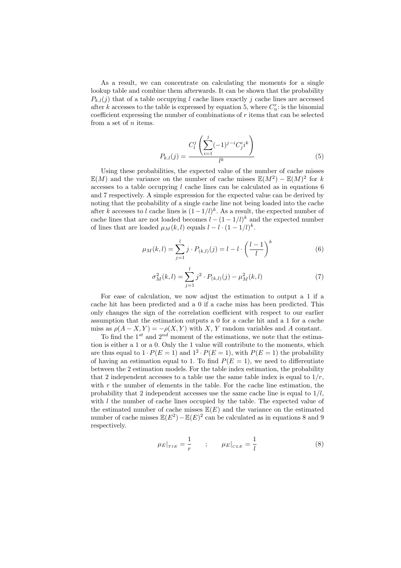As a result, we can concentrate on calculating the moments for a single lookup table and combine them afterwards. It can be shown that the probability  $P_{k,l}(j)$  that of a table occupying l cache lines exactly j cache lines are accessed after k accesses to the table is expressed by equation 5, where  $C_n^r$ : is the binomial coefficient expressing the number of combinations of r items that can be selected from a set of  $n$  items.

$$
P_{k,l}(j) = \frac{C_l^j \left(\sum_{i=1}^j (-1)^{j-i} C_j^i i^k\right)}{l^k} \tag{5}
$$

Using these probabilities, the expected value of the number of cache misses  $\mathbb{E}(M)$  and the variance on the number of cache misses  $\mathbb{E}(M^2) - \mathbb{E}(M)^2$  for k accesses to a table occupying  $l$  cache lines can be calculated as in equations 6 and 7 respectively. A simple expression for the expected value can be derived by noting that the probability of a single cache line not being loaded into the cache after k accesses to l cache lines is  $(1-1/l)^k$ . As a result, the expected number of cache lines that are not loaded becomes  $l - (1 - 1/l)^k$  and the expected number of lines that are loaded  $\mu_M(k, l)$  equals  $l - l \cdot (1 - 1/l)^k$ .

$$
\mu_M(k,l) = \sum_{j=1}^l j \cdot P_{(k,l)}(j) = l - l \cdot \left(\frac{l-1}{l}\right)^k
$$
\n(6)

$$
\sigma_M^2(k,l) = \sum_{j=1}^l j^2 \cdot P_{(k,l)}(j) - \mu_M^2(k,l)
$$
\n(7)

For ease of calculation, we now adjust the estimation to output a 1 if a cache hit has been predicted and a 0 if a cache miss has been predicted. This only changes the sign of the correlation coefficient with respect to our earlier assumption that the estimation outputs a 0 for a cache hit and a 1 for a cache miss as  $\rho(A - X, Y) = -\rho(X, Y)$  with X, Y random variables and A constant.

To find the  $1^{st}$  and  $2^{nd}$  moment of the estimations, we note that the estimation is either a 1 or a 0. Only the 1 value will contribute to the moments, which are thus equal to  $1 \cdot P(E=1)$  and  $1^2 \cdot P(E=1)$ , with  $P(E=1)$  the probability of having an estimation equal to 1. To find  $P(E = 1)$ , we need to differentiate between the 2 estimation models. For the table index estimation, the probability that 2 independent accesses to a table use the same table index is equal to  $1/r$ , with  $r$  the number of elements in the table. For the cache line estimation, the probability that 2 independent accesses use the same cache line is equal to  $1/l$ , with  $l$  the number of cache lines occupied by the table. The expected value of the estimated number of cache misses  $E(E)$  and the variance on the estimated number of cache misses  $\mathbb{E}(E^2) - \mathbb{E}(E)^2$  can be calculated as in equations 8 and 9 respectively.

$$
\mu_E|_{TIE} = \frac{1}{r} \qquad ; \qquad \mu_E|_{CLE} = \frac{1}{l} \tag{8}
$$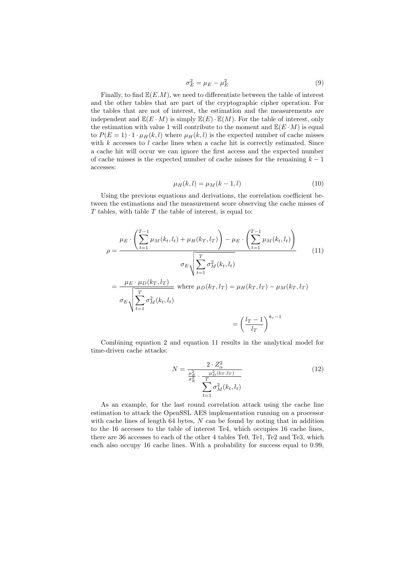$$
\sigma_E^2 = \mu_E - \mu_E^2 \tag{9}
$$

Finally, to find  $\mathbb{E}(E.M)$ , we need to differentiate between the table of interest and the other tables that are part of the cryptographic cipher operation. For the tables that are not of interest, the estimation and the measurements are independent and  $\mathbb{E}(E \cdot M)$  is simply  $\mathbb{E}(E) \cdot \mathbb{E}(M)$ . For the table of interest, only the estimation with value 1 will contribute to the moment and  $\mathbb{E}(E \cdot M)$  is equal to  $P(E = 1) \cdot 1 \cdot \mu_H(k, l)$  where  $\mu_H(k, l)$  is the expected number of cache misses with  $k$  accesses to  $l$  cache lines when a cache hit is correctly estimated. Since a cache hit will occur we can ignore the first access and the expected number of cache misses is the expected number of cache misses for the remaining  $k - 1$ accesses:

$$
\mu_H(k, l) = \mu_M(k - 1, l)
$$
\n(10)

Using the previous equations and derivations, the correlation coefficient between the estimations and the measurement score observing the cache misses of  $T$  tables, with table  $T$  the table of interest, is equal to:

$$
\rho = \frac{\mu_E \cdot \left(\sum_{t=1}^{T-1} \mu_M(k_t, l_t) + \mu_H(k_T, l_T)\right) - \mu_E \cdot \left(\sum_{t=1}^{T-1} \mu_M(k_t, l_t)\right)}{\sigma_E \sqrt{\sum_{t=1}^{T} \sigma_M^2(k_t, l_t)}} \qquad (11)
$$

$$
= \frac{\mu_E \cdot \mu_D(k_T, l_T)}{\sigma_E \sqrt{\sum_{t=1}^{T} \sigma_M^2(k_t, l_t)}} \text{ where } \mu_D(k_T, l_T) = \mu_H(k_T, l_T) - \mu_M(k_T, l_T)
$$

$$
= \left(\frac{l_T - 1}{l_T}\right)^{k_r - 1}
$$

Combining equation 2 and equation 11 results in the analytical model for time-driven cache attacks:

$$
N = \frac{2 \cdot Z_{\alpha}^{2}}{\frac{\mu_{E}^{2}}{\sigma_{E}^{2}} \cdot \frac{\mu_{D}^{2}(k_{T}, l_{T})}{T}} \sum_{t=1}^{T} \sigma_{M}^{2}(k_{t}, l_{t})
$$
(12)

As an example, for the last round correlation attack using the cache line estimation to attack the OpenSSL AES implementation running on a processor with cache lines of length 64 bytes,  $N$  can be found by noting that in addition to the 16 accesses to the table of interest Te4, which occupies 16 cache lines, there are 36 accesses to each of the other 4 tables Te0, Te1, Te2 and Te3, which each also occupy 16 cache lines. With a probability for success equal to 0.99,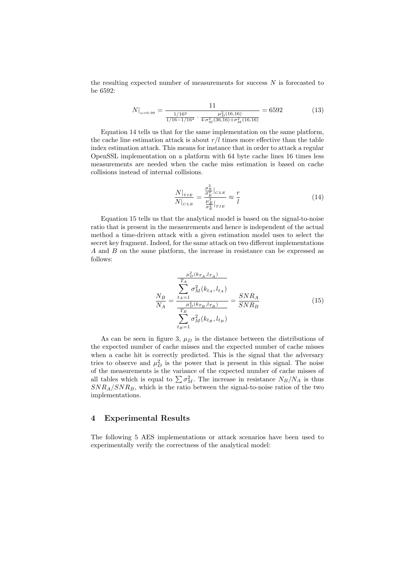the resulting expected number of measurements for success  $N$  is forecasted to be 6592:

$$
N|_{\alpha=0.99} = \frac{11}{\frac{1/16^2}{1/16 - 1/16^2} \cdot \frac{\mu_D^2(16, 16)}{4 \cdot \sigma_M^2(36, 16) + \sigma_M^2(16, 16)}} = 6592\tag{13}
$$

Equation 14 tells us that for the same implementation on the same platform, the cache line estimation attack is about  $r/l$  times more effective than the table index estimation attack. This means for instance that in order to attack a regular OpenSSL implementation on a platform with 64 byte cache lines 16 times less measurements are needed when the cache miss estimation is based on cache collisions instead of internal collisions.

$$
\frac{N|_{TIE}}{N|_{CLE}} = \frac{\frac{\mu_E^2}{\sigma_E^2}|_{CLE}}{\frac{\mu_E^2}{\sigma_E^2}|_{TIE}} \approx \frac{r}{l}
$$
\n(14)

Equation 15 tells us that the analytical model is based on the signal-to-noise ratio that is present in the measurements and hence is independent of the actual method a time-driven attack with a given estimation model uses to select the secret key fragment. Indeed, for the same attack on two different implementations A and B on the same platform, the increase in resistance can be expressed as follows:

$$
\frac{N_B}{N_A} = \frac{\frac{\mu_D^2(k_{T_A}, l_{T_A})}{T_A}}{\frac{\mu_D^2(k_{T_B}, l_{T_B})}{\frac{\mu_D^2(k_{T_B}, l_{T_B})}{\frac{T_B}{k_B}}}} = \frac{SNR_A}{SNR_B}
$$
(15)

As can be seen in figure 3,  $\mu_D$  is the distance between the distributions of the expected number of cache misses and the expected number of cache misses when a cache hit is correctly predicted. This is the signal that the adversary tries to observe and  $\mu_D^2$  is the power that is present in this signal. The noise of the measurements is the variance of the expected number of cache misses of of the measurements is the variance of the expected number of cache misses of all tables which is equal to  $\sum \sigma_M^2$ . The increase in resistance  $N_B/N_A$  is thus  $SNR<sub>A</sub>/SNR<sub>B</sub>$ , which is the ratio between the signal-to-noise ratios of the two implementations.

#### 4 Experimental Results

The following 5 AES implementations or attack scenarios have been used to experimentally verify the correctness of the analytical model: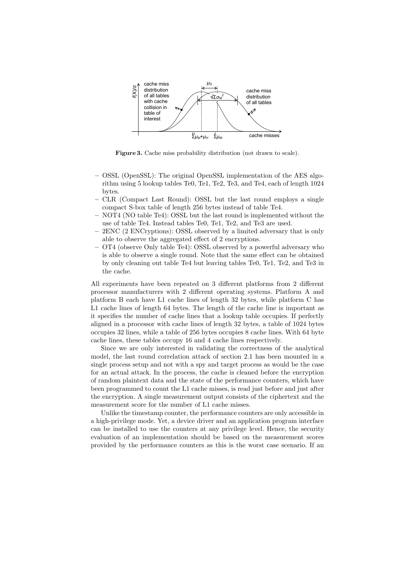

Figure 3. Cache miss probability distribution (not drawn to scale).

- OSSL (OpenSSL): The original OpenSSL implementation of the AES algorithm using 5 lookup tables Te0, Te1, Te2, Te3, and Te4, each of length 1024 bytes.
- CLR (Compact Last Round): OSSL but the last round employs a single compact S-box table of length 256 bytes instead of table Te4.
- NOT4 (NO table Te4): OSSL but the last round is implemented without the use of table Te4. Instead tables Te0, Te1, Te2, and Te3 are used.
- 2ENC (2 ENCryptions): OSSL observed by a limited adversary that is only able to observe the aggregated effect of 2 encryptions.
- OT4 (observe Only table Te4): OSSL observed by a powerful adversary who is able to observe a single round. Note that the same effect can be obtained by only cleaning out table Te4 but leaving tables Te0, Te1, Te2, and Te3 in the cache.

All experiments have been repeated on 3 different platforms from 2 different processor manufacturers with 2 different operating systems. Platform A and platform B each have L1 cache lines of length 32 bytes, while platform C has L1 cache lines of length 64 bytes. The length of the cache line is important as it specifies the number of cache lines that a lookup table occupies. If perfectly aligned in a processor with cache lines of length 32 bytes, a table of 1024 bytes occupies 32 lines, while a table of 256 bytes occupies 8 cache lines. With 64 byte cache lines, these tables occupy 16 and 4 cache lines respectively.

Since we are only interested in validating the correctness of the analytical model, the last round correlation attack of section 2.1 has been mounted in a single process setup and not with a spy and target process as would be the case for an actual attack. In the process, the cache is cleaned before the encryption of random plaintext data and the state of the performance counters, which have been programmed to count the L1 cache misses, is read just before and just after the encryption. A single measurement output consists of the ciphertext and the measurement score for the number of L1 cache misses.

Unlike the timestamp counter, the performance counters are only accessible in a high-privilege mode. Yet, a device driver and an application program interface can be installed to use the counters at any privilege level. Hence, the security evaluation of an implementation should be based on the measurement scores provided by the performance counters as this is the worst case scenario. If an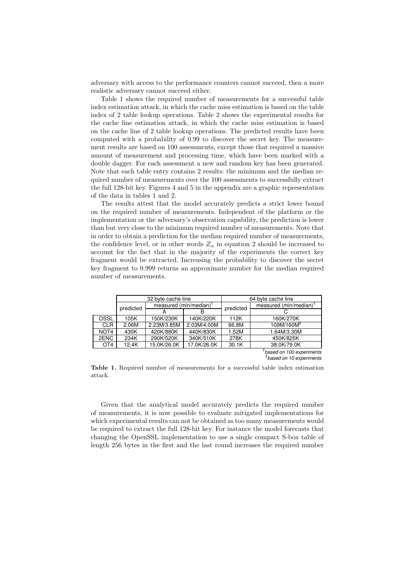adversary with access to the performance counters cannot succeed, then a more realistic adversary cannot succeed either.

Table 1 shows the required number of measurements for a successful table index estimation attack, in which the cache miss estimation is based on the table index of 2 table lookup operations. Table 2 shows the experimental results for the cache line estimation attack, in which the cache miss estimation is based on the cache line of 2 table lookup operations. The predicted results have been computed with a probability of 0.99 to discover the secret key. The measurement results are based on 100 assessments, except those that required a massive amount of measurement and processing time, which have been marked with a double dagger. For each assessment a new and random key has been generated. Note that each table entry contains 2 results: the minimum and the median required number of measurements over the 100 assessments to successfully extract the full 128-bit key. Figures 4 and 5 in the appendix are a graphic representation of the data in tables 1 and 2.

The results attest that the model accurately predicts a strict lower bound on the required number of measurements. Independent of the platform or the implementation or the adversary's observation capability, the prediction is lower than but very close to the minimum required number of measurements. Note that in order to obtain a prediction for the median required number of measurements, the confidence level, or in other words  $Z_{\alpha}$  in equation 2 should be increased to account for the fact that in the majority of the experiments the correct key fragment would be extracted. Increasing the probability to discover the secret key fragment to 0.999 returns an approximate number for the median required number of measurements.

|                  | 32 byte cache line |                       |             | 64 byte cache line |                        |
|------------------|--------------------|-----------------------|-------------|--------------------|------------------------|
|                  | predicted          | measured (min/median) |             | predicted          | measured (min/median)  |
|                  |                    |                       |             |                    |                        |
| OSSL             | 105K               | 150K/230K             | 140K/220K   | 112K               | 160K/270K              |
| <b>CLR</b>       | 2.06M              | 2.23M/3.85M           | 2.03M/4.00M | 66.8M              | 109M/160M <sup>‡</sup> |
| NOT <sub>4</sub> | 430K               | 420K/880K             | 440K/830K   | 1.52M              | 1.64M/3.30M            |
| 2ENC             | 234K               | 290K/520K             | 340K/510K   | 278K               | 450K/825K              |
| OT <sub>4</sub>  | 12.4K              | 15.0K/26.0K           | 17.0K/26.0K | 30.1K              | 38.0K/79.0K            |

† *based on 100 experiments* ‡ *based on 10 experiments*

Table 1. Required number of measurements for a successful table index estimation attack.

Given that the analytical model accurately predicts the required number of measurements, it is now possible to evaluate mitigated implementations for which experimental results can not be obtained as too many measurements would be required to extract the full 128-bit key. For instance the model forecasts that changing the OpenSSL implementation to use a single compact S-box table of length 256 bytes in the first and the last round increases the required number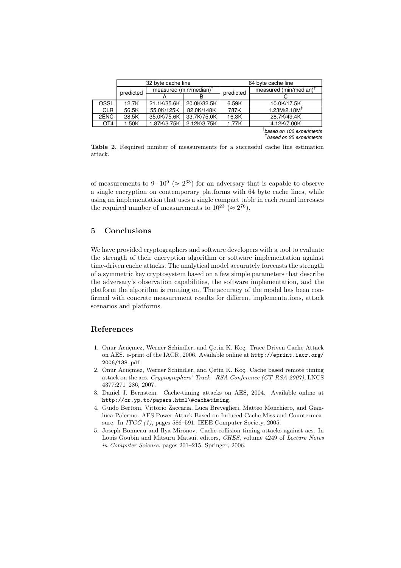|            | 32 byte cache line |                       |             | 64 byte cache line |                                    |
|------------|--------------------|-----------------------|-------------|--------------------|------------------------------------|
|            | predicted          | measured (min/median) |             | predicted          | measured (min/median) <sup>1</sup> |
|            |                    |                       |             |                    |                                    |
| OSSL       | 12.7K              | 21.1K/35.6K           | 20.0K/32.5K | 6.59K              | 10.0K/17.5K                        |
| <b>CLR</b> | 56.5K              | 55.0K/125K            | 82.0K/148K  | 787K               | 1.23M/2.18M <sup>‡</sup>           |
| 2ENC       | 28.5K              | 35.0K/75.6K           | 33.7K/75.0K | 16.3K              | 28.7K/49.4K                        |
| OT4        | 1.50K              | 1.87K/3.75K           | 2.12K/3.75K | 1.77K              | 4.12K/7.00K                        |

† *based on 100 experiments* ‡ *based on 25 experiments*

Table 2. Required number of measurements for a successful cache line estimation attack.

of measurements to  $9 \cdot 10^9 \approx 2^{33}$  for an adversary that is capable to observe a single encryption on contemporary platforms with 64 byte cache lines, while using an implementation that uses a single compact table in each round increases the required number of measurements to  $10^{23}$  ( $\approx 2^{76}$ ).

## 5 Conclusions

We have provided cryptographers and software developers with a tool to evaluate the strength of their encryption algorithm or software implementation against time-driven cache attacks. The analytical model accurately forecasts the strength of a symmetric key cryptosystem based on a few simple parameters that describe the adversary's observation capabilities, the software implementation, and the platform the algorithm is running on. The accuracy of the model has been confirmed with concrete measurement results for different implementations, attack scenarios and platforms.

## References

- 1. Onur Aciiçmez, Werner Schindler, and Çetin K. Koç. Trace Driven Cache Attack on AES. e-print of the IACR, 2006. Available online at http://eprint.iacr.org/ 2006/138.pdf.
- 2. Onur Aciiçmez, Werner Schindler, and Çetin K. Koç. Cache based remote timing attack on the aes. Cryptographers' Track - RSA Conference (CT-RSA 2007), LNCS 4377:271–286, 2007.
- 3. Daniel J. Bernstein. Cache-timing attacks on AES, 2004. Available online at http://cr.yp.to/papers.html\#cachetiming.
- 4. Guido Bertoni, Vittorio Zaccaria, Luca Breveglieri, Matteo Monchiero, and Gianluca Palermo. AES Power Attack Based on Induced Cache Miss and Countermeasure. In  $ITCC$  (1), pages 586–591. IEEE Computer Society, 2005.
- 5. Joseph Bonneau and Ilya Mironov. Cache-collision timing attacks against aes. In Louis Goubin and Mitsuru Matsui, editors, CHES, volume 4249 of Lecture Notes in Computer Science, pages 201–215. Springer, 2006.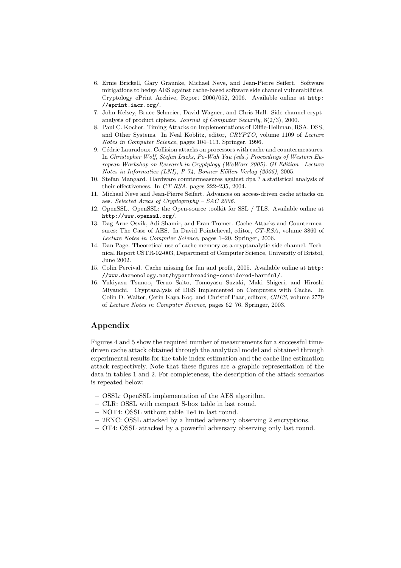- 6. Ernie Brickell, Gary Graunke, Michael Neve, and Jean-Pierre Seifert. Software mitigations to hedge AES against cache-based software side channel vulnerabilities. Cryptology ePrint Archive, Report 2006/052, 2006. Available online at http: //eprint.iacr.org/.
- 7. John Kelsey, Bruce Schneier, David Wagner, and Chris Hall. Side channel cryptanalysis of product ciphers. Journal of Computer Security, 8(2/3), 2000.
- 8. Paul C. Kocher. Timing Attacks on Implementations of Diffie-Hellman, RSA, DSS, and Other Systems. In Neal Koblitz, editor, CRYPTO, volume 1109 of Lecture Notes in Computer Science, pages 104–113. Springer, 1996.
- 9. Cédric Lauradoux. Collision attacks on processors with cache and countermeasures. In Christopher Wolf, Stefan Lucks, Po-Wah Yau (eds.) Proceedings of Western European Workshop on Research in Cryptplogy (WeWorc 2005). GI-Edition - Lecture Notes in Informatics (LNI), P-74, Bonner Köllen Verlag (2005), 2005.
- 10. Stefan Mangard. Hardware countermeasures against dpa ? a statistical analysis of their effectiveness. In CT-RSA, pages 222–235, 2004.
- 11. Michael Neve and Jean-Pierre Seifert. Advances on access-driven cache attacks on aes. Selected Areas of Cryptography – SAC 2006.
- 12. OpenSSL. OpenSSL: the Open-source toolkit for SSL / TLS. Available online at http://www.openssl.org/.
- 13. Dag Arne Osvik, Adi Shamir, and Eran Tromer. Cache Attacks and Countermeasures: The Case of AES. In David Pointcheval, editor, CT-RSA, volume 3860 of Lecture Notes in Computer Science, pages 1–20. Springer, 2006.
- 14. Dan Page. Theoretical use of cache memory as a cryptanalytic side-channel. Technical Report CSTR-02-003, Department of Computer Science, University of Bristol, June 2002.
- 15. Colin Percival. Cache missing for fun and profit, 2005. Available online at http: //www.daemonology.net/hyperthreading-considered-harmful/.
- 16. Yukiyasu Tsunoo, Teruo Saito, Tomoyasu Suzaki, Maki Shigeri, and Hiroshi Miyauchi. Cryptanalysis of DES Implemented on Computers with Cache. In Colin D. Walter, Cetin Kaya Koç, and Christof Paar, editors, CHES, volume 2779 of Lecture Notes in Computer Science, pages 62–76. Springer, 2003.

## Appendix

Figures 4 and 5 show the required number of measurements for a successful timedriven cache attack obtained through the analytical model and obtained through experimental results for the table index estimation and the cache line estimation attack respectively. Note that these figures are a graphic representation of the data in tables 1 and 2. For completeness, the description of the attack scenarios is repeated below:

- OSSL: OpenSSL implementation of the AES algorithm.
- CLR: OSSL with compact S-box table in last round.
- NOT4: OSSL without table Te4 in last round.
- 2ENC: OSSL attacked by a limited adversary observing 2 encryptions.
- OT4: OSSL attacked by a powerful adversary observing only last round.